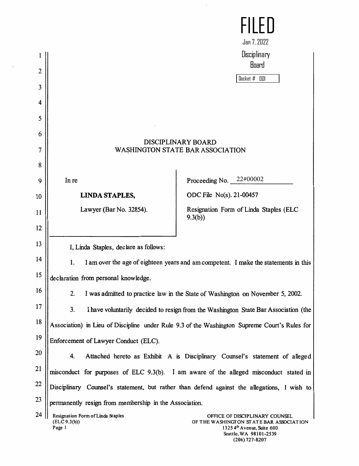|                |                                                             | Jan 7, 2022                                                                                              |
|----------------|-------------------------------------------------------------|----------------------------------------------------------------------------------------------------------|
|                |                                                             | Disciplinary                                                                                             |
| $\overline{2}$ |                                                             | Board                                                                                                    |
| 3              |                                                             | Docket $#$ 001                                                                                           |
| 4              |                                                             |                                                                                                          |
| 5              |                                                             |                                                                                                          |
|                |                                                             |                                                                                                          |
| 6              |                                                             | <b>DISCIPLINARY BOARD</b>                                                                                |
| 7              |                                                             | <b>WASHINGTON STATE BAR ASSOCIATION</b>                                                                  |
| 8              |                                                             |                                                                                                          |
| 9              | In re                                                       | Proceeding No. $22\#00002$                                                                               |
| 10             | <b>LINDA STAPLES,</b>                                       | ODC File No(s). 21-00457                                                                                 |
| 11             | Lawyer (Bar No. 32854).                                     | Resignation Form of Linda Staples (ELC<br>9.3(b)                                                         |
| 12             |                                                             |                                                                                                          |
| 13             | I, Linda Staples, declare as follows:                       |                                                                                                          |
| 14             | 1.                                                          | I am over the age of eighteen years and am competent. I make the statements in this                      |
| 15             | declaration from personal knowledge                         |                                                                                                          |
| 16             | 2.                                                          | I was admitted to practice law in the State of Washington on November 5, 2002.                           |
| 17             | 3.                                                          | I have voluntarily decided to resign from the Washington State Bar Association (the                      |
| 18             |                                                             | Association) in Lieu of Discipline under Rule 9.3 of the Washington Supreme Court's Rules for            |
| 19             | Enforcement of Lawyer Conduct (ELC).                        |                                                                                                          |
| 20             | 4.                                                          | Attached hereto as Exhibit A is Disciplinary Counsel's statement of alleged                              |
| 21             |                                                             | misconduct for purposes of ELC 9.3(b). I am aware of the alleged misconduct stated in                    |
| 22             |                                                             | Disciplinary Counsel's statement, but rather than defend against the allegations, I wish to              |
| 23             | permanently resign from membership in the Association.      |                                                                                                          |
| 24             | Resignation Form of Linda Staples<br>(ELC 9.3(b))<br>Page 1 | OFFICE OF DISCIPLINARY COUNSEL<br>OF THE WASHINGTON STATE BAR ASSOCIATION<br>$13254th$ Avenue, Suite 600 |

 $\hat{\mathcal{L}}$ 

1325 4<sup>th</sup> Avenue, Suite 600 Seattle, WA 98101-2539 (206) 727-8207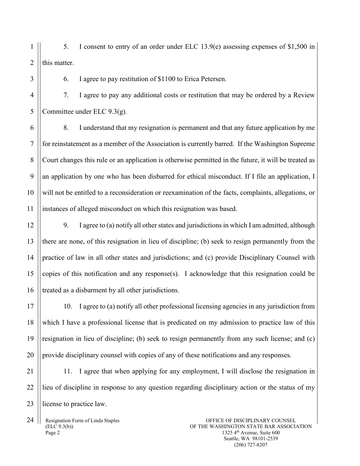1  $\overline{2}$ 5. I consent to entry of an order under ELC 13.9(e) assessing expenses of \$1,500 in this matter.

6. I agree to pay restitution of \$1100 to Erica Petersen.

7. I agree to pay any additional costs or restitution that may be ordered by a Review Committee under ELC 9.3(g).

8. I understand that my resignation is permanent and that any future application by me for reinstatement as a member of the Association is currently barred. If the Washington Supreme Court changes this rule or an application is otherwise permitted in the future, it will be treated as an application by one who has been disbarred for ethical misconduct. If I file an application, I will not be entitled to a reconsideration or reexamination of the facts, complaints, allegations, or instances of alleged misconduct on which this resignation was based.

9. I agree to (a) notify all other states and jurisdictions in which I am admitted, although there are none, of this resignation in lieu of discipline; (b) seek to resign permanently from the practice of law in all other states and jurisdictions; and (c) provide Disciplinary Counsel with copies of this notification and any response(s). I acknowledge that this resignation could be treated as a disbarment by all other jurisdictions.

10. I agree to (a) notify all other professional licensing agencies in any jurisdiction from which I have a professional license that is predicated on my admission to practice law of this resignation in lieu of discipline; (b) seek to resign permanently from any such license; and (c) provide disciplinary counsel with copies of any of these notifications and any responses.

11. I agree that when applying for any employment, I will disclose the resignation in lieu of discipline in response to any question regarding disciplinary action or the status of my license to practice law.

Resignation Form of Linda Staples (ELC 9.3(b)) Page 2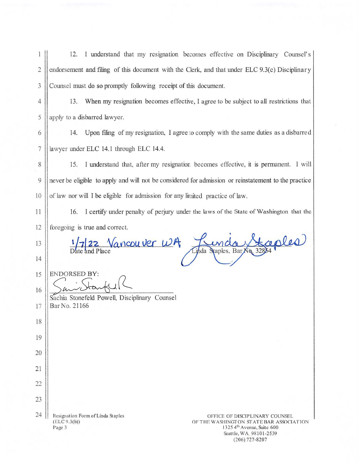$\mathbf{1}$ I understand that my resignation becomes effective on Disciplinary Counsel's 12.  $\overline{2}$ endorsement and filing of this document with the Clerk, and that under ELC 9.3(c) Disciplinary  $\mathfrak{Z}$ Counsel must do so promptly following receipt of this document.

 $\overline{4}$ 13. When my resignation becomes effective, I agree to be subject to all restrictions that apply to a disbarred lawyer. 5

6 14. Upon filing of my resignation, I agree to comply with the same duties as a disbarred  $\boldsymbol{7}$ lawyer under ELC 14.1 through ELC 14.4.

15. I understand that, after my resignation becomes effective, it is permanent. I will 8 never be eligible to apply and will not be considered for admission or reinstatement to the practice 9 10 of law nor will I be eligible for admission for any limited practice of law.

16. I certify under penalty of perjury under the laws of the State of Washington that the foregoing is true and correct.

inda Staples, BarX

Vancouver WA

13 14

11

12

15

16

17

18

19

20

21

22

23

24

**ENDORSED BY:** 

Bar No. 21166

 $(ELC 9.3(b))$ 

Page 3

Sachia Stonefeld Powell, Disciplinary Counsel

Resignation Form of Linda Staples

OFFICE OF DISCIPLINARY COUNSEL OF THE WASHINGTON STATE BAR ASSOCIATION 1325 4<sup>th</sup> Avenue, Suite 600 Seattle, WA 98101-2539  $(206)$  727-8207

ceples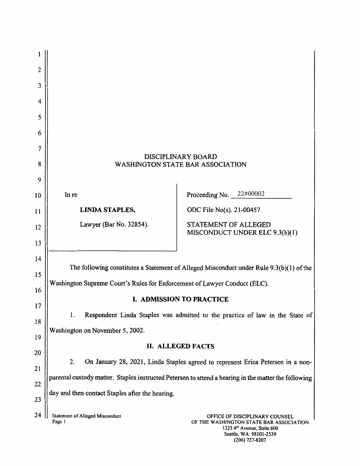| 2  |                                                                                                      |                                                                                 |
|----|------------------------------------------------------------------------------------------------------|---------------------------------------------------------------------------------|
| 3  |                                                                                                      |                                                                                 |
| 4  |                                                                                                      |                                                                                 |
| 5  |                                                                                                      |                                                                                 |
| 6  |                                                                                                      |                                                                                 |
| 7  |                                                                                                      |                                                                                 |
| 8  | DISCIPLINARY BOARD<br><b>WASHINGTON STATE BAR ASSOCIATION</b>                                        |                                                                                 |
| 9  |                                                                                                      |                                                                                 |
| 10 | In re                                                                                                | Proceeding No. $22\#00002$                                                      |
| 11 | <b>LINDA STAPLES,</b>                                                                                | ODC File No(s). 21-00457                                                        |
| 12 | Lawyer (Bar No. 32854).                                                                              | STATEMENT OF ALLEGED<br>MISCONDUCT UNDER ELC 9.3(b)(1)                          |
| 13 |                                                                                                      |                                                                                 |
| 14 |                                                                                                      |                                                                                 |
| 15 | The following constitutes a Statement of Alleged Misconduct under Rule 9.3(b)(1) of the              |                                                                                 |
| 16 | Washington Supreme Court's Rules for Enforcement of Lawyer Conduct (ELC).                            |                                                                                 |
| 17 | <b>I. ADMISSION TO PRACTICE</b>                                                                      |                                                                                 |
| 18 | 1.                                                                                                   | Respondent Linda Staples was admitted to the practice of law in the State of    |
| 19 | Washington on November 5, 2002.                                                                      |                                                                                 |
| 20 |                                                                                                      | <b>II. ALLEGED FACTS</b>                                                        |
| 21 | 2.                                                                                                   | On January 28, 2021, Linda Staples agreed to represent Erica Petersen in a non- |
| 22 | parental custody matter. Staples instructed Petersen to attend a hearing in the matter the following |                                                                                 |
| 23 | day and then contact Staples after the hearing.                                                      |                                                                                 |
| 24 | <b>Statement of Alleged Misconduct</b><br>Page 1                                                     | OFFICE OF DISCIPLINARY COUNSEL<br>OF THE WASHINGTON STATE BAR ASSOCIATION       |

 $1325$  4 $\degree$  Avenue, Suite 600  $search, WA$  98101-2539  $(200)$   $(21.820)$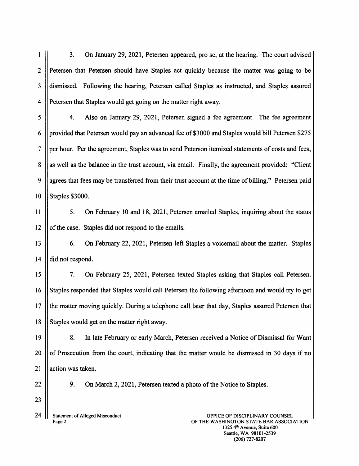<sup>1</sup> 3. On January 29, 2021, Petersen appeared, pro se, at the hearing. The court advised 2 || Petersen that Petersen should have Staples act quickly because the matter was going to be 3 dismissed. Following the hearing, Petersen called Staples as instructed, and Staples assured 4 Petersen that Staples would get going on the matter right away. 5 4. Also on January 29, 2021, Petersen signed a fee agreement. The fee agreement <sup>6</sup> provided that Petersen would pay an advanced fee of \$3000 and Staples would bill Petersen \$275 7 || per hour. Per the agreement, Staples was to send Peterson itemized statements of costs and fees,  $8 \parallel$  as well as the balance in the trust account, via email. Finally, the agreement provided: "Client" 9  $\parallel$  agrees that fees may be transferred from their trust account at the time of billing." Petersen paid 10 || Staples \$3000. <sup>11</sup> 5. On February 10 and 18, 2021, Petersen emailed Staples, inquiring about the status  $12$  || of the case. Staples did not respond to the emails. 13 **6.** On February 22, 2021, Petersen left Staples a voicemail about the matter. Staples  $14$  | did not respond. 15 7. On February 25, 2021, Petersen texted Staples asking that Staples call Petersen. 16 Staples responded that Staples would call Petersen the following afternoon and would try to get 17 If the matter moving quickly. During a telephone call later that day, Staples assured Petersen that 18 Staples would get on the matter right away. 19 | 8. In late February or early March, Petersen received a Notice of Dismissal for Want 20  $\vert\vert$  of Prosecution from the court, indicating that the matter would be dismissed in 30 days if no 21 leaction was taken. 22 | 9. On March 2, 2021, Petersen texted a photo of the Notice to Staples. 23 24 | Statement of Alleged Misconduct<br>Page 2 Page <sup>2</sup> OFFICE OF DISCIPLINARY COUNSEL OF THE WASHINGTON STATE BAR ASSOCIATION

<sup>1</sup> 325 4th Avenue, Suite 600 Seattle, WA 98101-2539 (206) 727-8207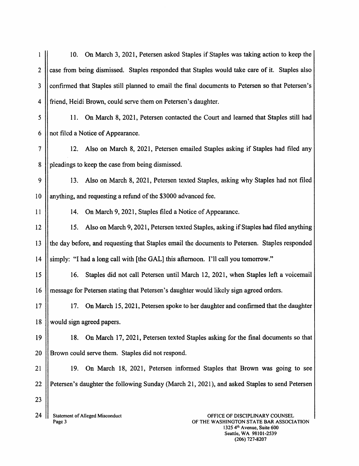<sup>1</sup> 10. On March 3, 2021, Petersen asked Staples if Staples was taking action to keep the 2  $\parallel$  case from being dismissed. Staples responded that Staples would take care of it. Staples also 3 Confirmed that Staples still planned to email the final documents to Petersen so that Petersen's 4 friend, Heidi Brown, could serve them on Petersen's daughter. <sup>5</sup> 11. On March 8, 2021, Petersen contacted the Court and learned that Staples still had  $6 \parallel$  not filed a Notice of Appearance. <sup>7</sup> 12. Also on March 8, 2021, Petersen emailed Staples asking if Staples had filed any 8 | pleadings to keep the case from being dismissed. 9 13. Also on March 8,2021, Petersen texted Staples, asking why Staples had not filed <sup>10</sup> anything, and requesting <sup>a</sup> refund of the \$3000 advanced fee. 11 | 14. On March 9, 2021, Staples filed a Notice of Appearance. <sup>12</sup> 15. Also on March 9,202 <sup>1</sup> , Petersen texted Staples, asking ifStaples had filed anything 13 the day before, and requesting that Staples email the documents to Petersen. Staples responded 14 Simply: "I had a long call with  $[the GAL]$  this afternoon. I'll call you tomorrow." 15 16. Staples did not call Petersen until March 12, 2021, when Staples left a voicemail 16 || message for Petersen stating that Petersen's daughter would likely sign agreed orders. 17 || 17. On March 15, 2021, Petersen spoke to her daughter and confirmed that the daughter 18 would sign agreed papers. 19 **18.** On March 17, 2021, Petersen texted Staples asking for the final documents so that 20 || Brown could serve them. Staples did not respond. 21 19. On March 18, 2021, Petersen informed Staples that Brown was going to see 22 Petersen's daughter the following Sunday (March 21, 2021), and asked Staples to send Petersen 23

Page 3

24 Statement of Alleged Misconduct<br>
Page 3<br>
Page 3<br>
OF THE WASHINGTON STATE BAR ASSOCIATI<br>
1325 4<sup>th</sup> Avenue, Suite 600<br>
Seattle, WA 98101-2539 OF THE WASHINGTON STATE BAR ASSOCIATION<br>1325 4<sup>th</sup> Avenue, Suite 600 Seattle, WA 98101-2539 (206) 727-8207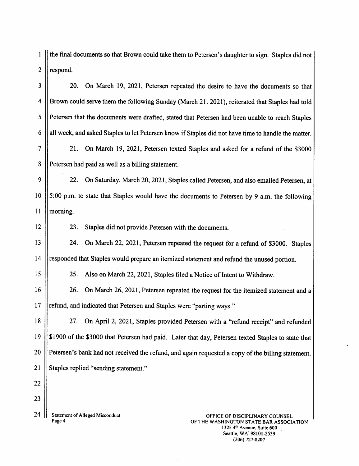1 | the final documents so that Brown could take them to Petersen's daughter to sign. Staples did not  $2$  | respond.

3 || 20. On March 19, 2021, Petersen repeated the desire to have the documents so that <sup>4</sup> Brown could serve them the following Sunday (March <sup>21</sup> . 2021), reiterated that Staples had told 5 || Petersen that the documents were drafted, stated that Petersen had been unable to reach Staples 6 | all week, and asked Staples to let Petersen know if Staples did not have time to handle the matter. <sup>7</sup> 21. On March 19, 2021, Petersen texted Staples and asked for <sup>a</sup> refund of the \$3000 8 || Petersen had paid as well as a billing statement. 9 | 22. On Saturday, March 20, 2021, Staples called Petersen, and also emailed Petersen, at <sup>10</sup> 5:00 p.m. to state that Staples would have the documents to Petersen by <sup>9</sup> a.m. the following 11 morning. 12 | 23. Staples did not provide Petersen with the documents. 13 | 24. On March 22, 2021, Petersen repeated the request for a refund of \$3000. Staples 14 | responded that Staples would prepare an itemized statement and refund the unused portion. 15 | 25. Also on March 22, 2021, Staples filed a Notice of Intent to Withdraw. 16 | 26. On March 26, 2021, Petersen repeated the request for the itemized statement and a 17 || refund, and indicated that Petersen and Staples were "parting ways." <sup>18</sup> 27. On April 2, 2021, Staples provided Petersen with <sup>a</sup> "refund receipt" and refunded <sup>19</sup> \$1900 of the \$3000 that Petersen had paid. Later that day, Petersen texted Staples to state that 20 || Petersen's bank had not received the refund, and again requested a copy of the billing statement. 21 || Staples replied "sending statement." 22 23 24  $\left|\right|$  Statement of Alleged Misconduct<br>Page 4 Statement of Alleged Misconduct<br>Page 4 OF THE WASHINGTON STATE BAR ASSOCIATION<br>1325 4<sup>th</sup> Avenue, Suite 600<br>Seattle, WA 98101-2539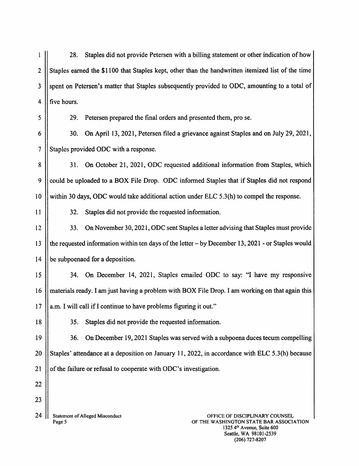<sup>1</sup> 28. Staples did not provide Petersen with <sup>a</sup> billing statement or other indication of how 2 Staples earned the \$1100 that Staples kept, other than the handwritten itemized list of the time 3 Supent on Petersen's matter that Staples subsequently provided to ODC, amounting to a total of  $4$  || five hours.

<sup>5</sup> 29. Petersen prepared the final orders and presented them, pro se.

6 | 30. On April 13, 2021, Petersen filed a grievance against Staples and on July 29, 2021, 7 Staples provided ODC with a response.

8 31. On October 21, 2021, ODC requested additional information from Staples, which 9 could be uploaded to a BOX File Drop. ODC informed Staples that if Staples did not respond 10 within 30 days, ODC would take additional action under ELC 5.3(h) to compel the response.

<sup>11</sup> 32. Staples did not provide the requested information.

12 **12 12 12 12 12 12 13** On November 30, 2021, ODC sent Staples a letter advising that Staples must provide 13 the requested information within ten days of the letter  $-$  by December 13, 2021 - or Staples would 14 | be subpoenaed for a deposition.

<sup>15</sup> 34. On December 14, 2021, Staples emailed ODC to say: "I have my responsive <sup>16</sup> materials ready. I am just having <sup>a</sup> problem with BOX File Drop. I am working on that again this  $17$  || a.m. I will call if I continue to have problems figuring it out."

18 | 35. Staples did not provide the requested information.

19 || 36. On December 19, 2021 Staples was served with a subpoena duces tecum compelling 20 Staples' attendance at a deposition on January 11, 2022, in accordance with ELC 5.3(h) because 21  $\parallel$  of the failure or refusal to cooperate with ODC's investigation.

22

23

24  $\left|\right|$  Statement of Alleged Misconduct<br>Page 5

Page <sup>5</sup> OFFICE OF DISCIPLINARY COUNSEL OF THE WASHINGTON STATE BAR ASSOCIATION 1325 4th Avenue, Suite 600 Seattle, WA 98101-2539 (206) 727-8207